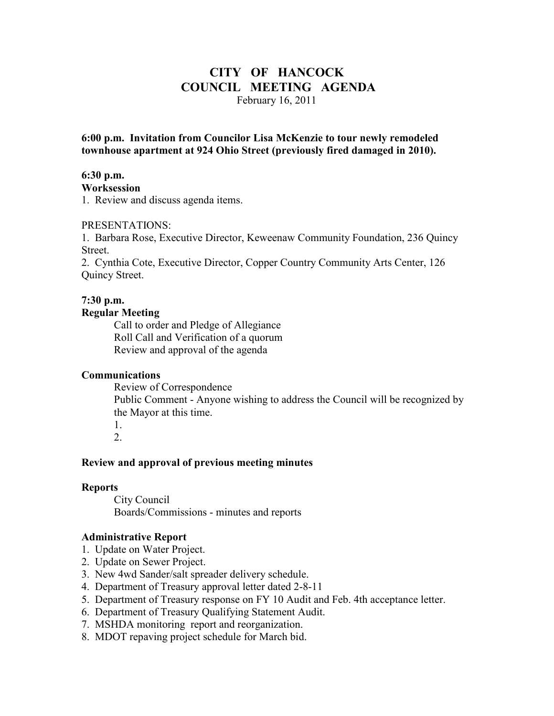## **CITY OF HANCOCK COUNCIL MEETING AGENDA**  February 16, 2011

**6:00 p.m. Invitation from Councilor Lisa McKenzie to tour newly remodeled townhouse apartment at 924 Ohio Street (previously fired damaged in 2010).** 

### **6:30 p.m.**

**Worksession** 

1. Review and discuss agenda items.

#### PRESENTATIONS:

1. Barbara Rose, Executive Director, Keweenaw Community Foundation, 236 Quincy Street.

2. Cynthia Cote, Executive Director, Copper Country Community Arts Center, 126 Quincy Street.

### **7:30 p.m.**

### **Regular Meeting**

 Call to order and Pledge of Allegiance Roll Call and Verification of a quorum Review and approval of the agenda

#### **Communications**

 Review of Correspondence Public Comment - Anyone wishing to address the Council will be recognized by the Mayor at this time.

 1. 2.

### **Review and approval of previous meeting minutes**

#### **Reports**

City Council Boards/Commissions - minutes and reports

#### **Administrative Report**

- 1. Update on Water Project.
- 2. Update on Sewer Project.
- 3. New 4wd Sander/salt spreader delivery schedule.
- 4. Department of Treasury approval letter dated 2-8-11
- 5. Department of Treasury response on FY 10 Audit and Feb. 4th acceptance letter.
- 6. Department of Treasury Qualifying Statement Audit.
- 7. MSHDA monitoring report and reorganization.
- 8. MDOT repaving project schedule for March bid.